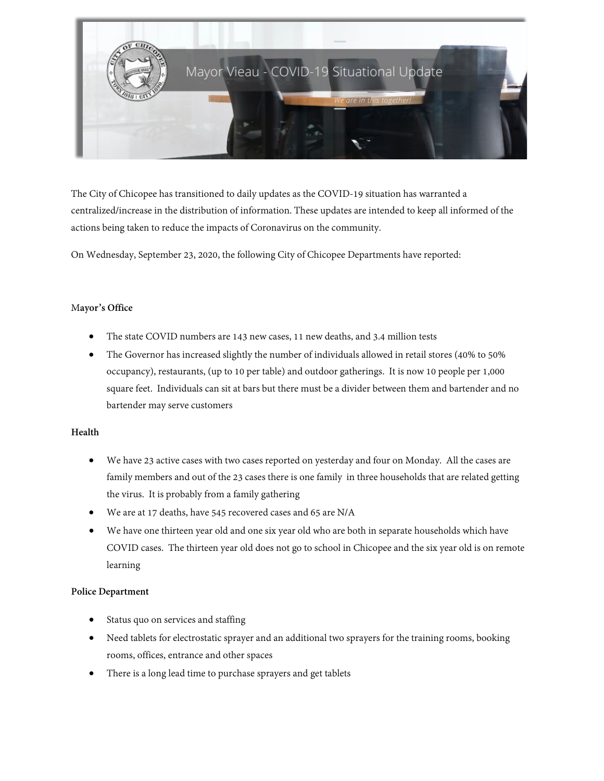

The City of Chicopee has transitioned to daily updates as the COVID-19 situation has warranted a centralized/increase in the distribution of information. These updates are intended to keep all informed of the actions being taken to reduce the impacts of Coronavirus on the community.

On Wednesday, September 23, 2020, the following City of Chicopee Departments have reported:

## M**ayor's Office**

- The state COVID numbers are 143 new cases, 11 new deaths, and 3.4 million tests
- The Governor has increased slightly the number of individuals allowed in retail stores (40% to 50% occupancy), restaurants, (up to 10 per table) and outdoor gatherings. It is now 10 people per 1,000 square feet. Individuals can sit at bars but there must be a divider between them and bartender and no bartender may serve customers

#### **Health**

- We have 23 active cases with two cases reported on yesterday and four on Monday. All the cases are family members and out of the 23 cases there is one family in three households that are related getting the virus. It is probably from a family gathering
- We are at 17 deaths, have 545 recovered cases and 65 are N/A
- We have one thirteen year old and one six year old who are both in separate households which have COVID cases. The thirteen year old does not go to school in Chicopee and the six year old is on remote learning

#### **Police Department**

- Status quo on services and staffing
- Need tablets for electrostatic sprayer and an additional two sprayers for the training rooms, booking rooms, offices, entrance and other spaces
- There is a long lead time to purchase sprayers and get tablets